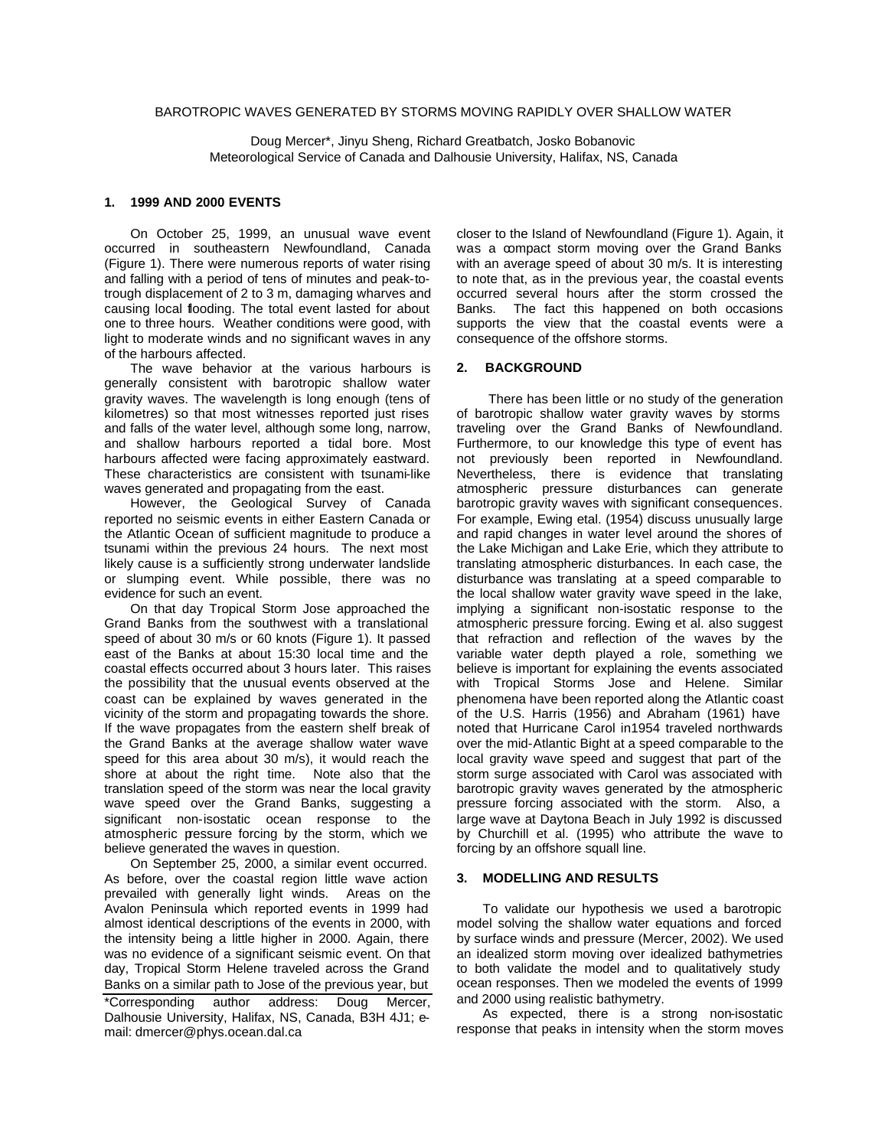## BAROTROPIC WAVES GENERATED BY STORMS MOVING RAPIDLY OVER SHALLOW WATER

Doug Mercer\*, Jinyu Sheng, Richard Greatbatch, Josko Bobanovic Meteorological Service of Canada and Dalhousie University, Halifax, NS, Canada

### **1. 1999 AND 2000 EVENTS**

On October 25, 1999, an unusual wave event occurred in southeastern Newfoundland, Canada (Figure 1). There were numerous reports of water rising and falling with a period of tens of minutes and peak-totrough displacement of 2 to 3 m, damaging wharves and causing local flooding. The total event lasted for about one to three hours. Weather conditions were good, with light to moderate winds and no significant waves in any of the harbours affected.

The wave behavior at the various harbours is generally consistent with barotropic shallow water gravity waves. The wavelength is long enough (tens of kilometres) so that most witnesses reported just rises and falls of the water level, although some long, narrow, and shallow harbours reported a tidal bore. Most harbours affected were facing approximately eastward. These characteristics are consistent with tsunami-like waves generated and propagating from the east.

However, the Geological Survey of Canada reported no seismic events in either Eastern Canada or the Atlantic Ocean of sufficient magnitude to produce a tsunami within the previous 24 hours. The next most likely cause is a sufficiently strong underwater landslide or slumping event. While possible, there was no evidence for such an event.

On that day Tropical Storm Jose approached the Grand Banks from the southwest with a translational speed of about 30 m/s or 60 knots (Figure 1). It passed east of the Banks at about 15:30 local time and the coastal effects occurred about 3 hours later. This raises the possibility that the unusual events observed at the coast can be explained by waves generated in the vicinity of the storm and propagating towards the shore. If the wave propagates from the eastern shelf break of the Grand Banks at the average shallow water wave speed for this area about 30 m/s), it would reach the shore at about the right time. Note also that the translation speed of the storm was near the local gravity wave speed over the Grand Banks, suggesting a significant non-isostatic ocean response to the atmospheric pressure forcing by the storm, which we believe generated the waves in question.

On September 25, 2000, a similar event occurred. As before, over the coastal region little wave action prevailed with generally light winds. Areas on the Avalon Peninsula which reported events in 1999 had almost identical descriptions of the events in 2000, with the intensity being a little higher in 2000. Again, there was no evidence of a significant seismic event. On that day, Tropical Storm Helene traveled across the Grand Banks on a similar path to Jose of the previous year, but \*Corresponding author address: Doug Mercer, Dalhousie University, Halifax, NS, Canada, B3H 4J1; email: dmercer@phys.ocean.dal.ca

closer to the Island of Newfoundland (Figure 1). Again, it was a compact storm moving over the Grand Banks with an average speed of about 30 m/s. It is interesting to note that, as in the previous year, the coastal events occurred several hours after the storm crossed the Banks. The fact this happened on both occasions supports the view that the coastal events were a consequence of the offshore storms.

#### **2. BACKGROUND**

 There has been little or no study of the generation of barotropic shallow water gravity waves by storms traveling over the Grand Banks of Newfoundland. Furthermore, to our knowledge this type of event has not previously been reported in Newfoundland. Nevertheless, there is evidence that translating atmospheric pressure disturbances can generate barotropic gravity waves with significant consequences. For example, Ewing etal. (1954) discuss unusually large and rapid changes in water level around the shores of the Lake Michigan and Lake Erie, which they attribute to translating atmospheric disturbances. In each case, the disturbance was translating at a speed comparable to the local shallow water gravity wave speed in the lake, implying a significant non-isostatic response to the atmospheric pressure forcing. Ewing et al. also suggest that refraction and reflection of the waves by the variable water depth played a role, something we believe is important for explaining the events associated with Tropical Storms Jose and Helene. Similar phenomena have been reported along the Atlantic coast of the U.S. Harris (1956) and Abraham (1961) have noted that Hurricane Carol in1954 traveled northwards over the mid-Atlantic Bight at a speed comparable to the local gravity wave speed and suggest that part of the storm surge associated with Carol was associated with barotropic gravity waves generated by the atmospheric pressure forcing associated with the storm. Also, a large wave at Daytona Beach in July 1992 is discussed by Churchill et al. (1995) who attribute the wave to forcing by an offshore squall line.

#### **3. MODELLING AND RESULTS**

To validate our hypothesis we used a barotropic model solving the shallow water equations and forced by surface winds and pressure (Mercer, 2002). We used an idealized storm moving over idealized bathymetries to both validate the model and to qualitatively study ocean responses. Then we modeled the events of 1999 and 2000 using realistic bathymetry.

As expected, there is a strong non-isostatic response that peaks in intensity when the storm moves